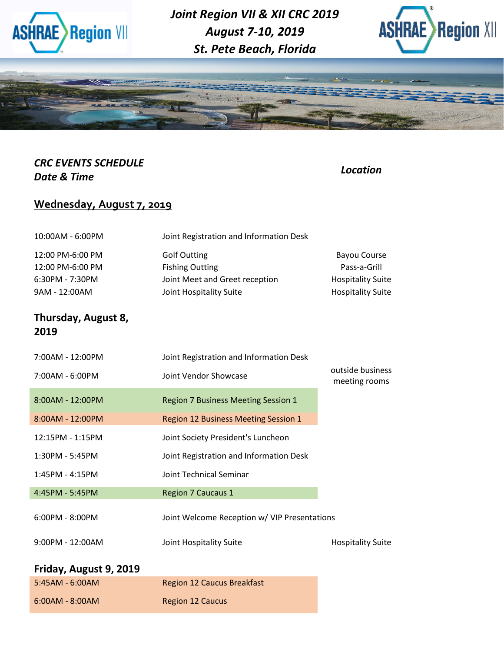

*Joint Region VII & XII CRC 2019 August 7-10, 2019 St. Pete Beach, Florida*





### *CRC EVENTS SCHEDULE Date & Time Location*

## **Wednesday, August 7, 2019**

| 10:00AM - 6:00PM                                                           | Joint Registration and Information Desk                                                                    |                                                                                             |
|----------------------------------------------------------------------------|------------------------------------------------------------------------------------------------------------|---------------------------------------------------------------------------------------------|
| 12:00 PM-6:00 PM<br>12:00 PM-6:00 PM<br>$6:30PM - 7:30PM$<br>9AM - 12:00AM | <b>Golf Outting</b><br><b>Fishing Outting</b><br>Joint Meet and Greet reception<br>Joint Hospitality Suite | <b>Bayou Course</b><br>Pass-a-Grill<br><b>Hospitality Suite</b><br><b>Hospitality Suite</b> |
| Thursday, August 8,<br>2019                                                |                                                                                                            |                                                                                             |
| 7:00AM - 12:00PM                                                           | Joint Registration and Information Desk                                                                    |                                                                                             |
| 7:00AM - 6:00PM                                                            | Joint Vendor Showcase                                                                                      | outside business<br>meeting rooms                                                           |
| 8:00AM - 12:00PM                                                           | <b>Region 7 Business Meeting Session 1</b>                                                                 |                                                                                             |
| 8:00AM - 12:00PM                                                           | Region 12 Business Meeting Session 1                                                                       |                                                                                             |
| 12:15PM - 1:15PM                                                           | Joint Society President's Luncheon                                                                         |                                                                                             |
| 1:30PM - 5:45PM                                                            | Joint Registration and Information Desk                                                                    |                                                                                             |
| $1:45PM - 4:15PM$                                                          | <b>Joint Technical Seminar</b>                                                                             |                                                                                             |
| 4:45PM - 5:45PM                                                            | <b>Region 7 Caucaus 1</b>                                                                                  |                                                                                             |

6:00PM - 8:00PM Joint Welcome Reception w/ VIP Presentations 9:00PM - 12:00AM Joint Hospitality Suite Hospitality Suite

#### **Friday, August 9, 2019**

| 5:45AM - 6:00AM   | <b>Region 12 Caucus Breakfast</b> |
|-------------------|-----------------------------------|
| $6:00AM - 8:00AM$ | <b>Region 12 Caucus</b>           |